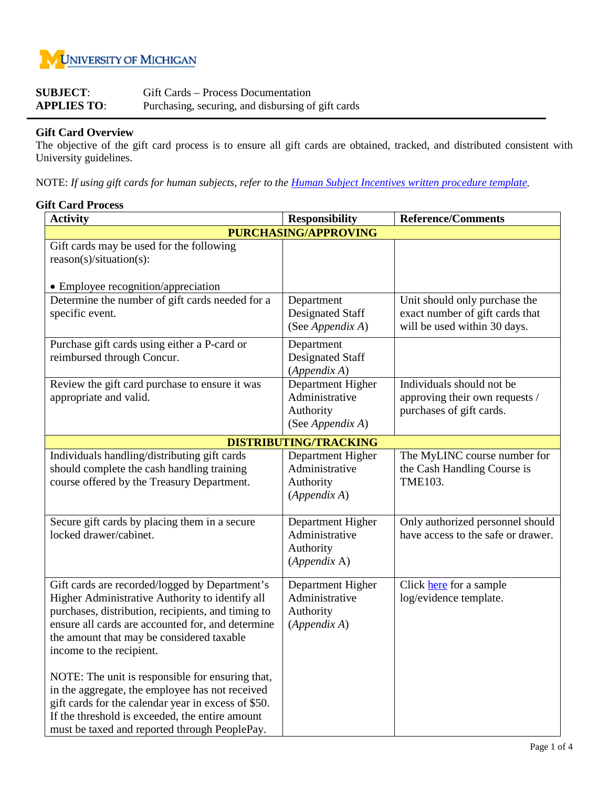

| <b>SUBJECT:</b>    | Gift Cards – Process Documentation                 |
|--------------------|----------------------------------------------------|
| <b>APPLIES TO:</b> | Purchasing, securing, and disbursing of gift cards |

## **Gift Card Overview**

The objective of the gift card process is to ensure all gift cards are obtained, tracked, and distributed consistent with University guidelines.

NOTE: *If using gift cards for human subjects, refer to the Human Subject Incentives [written procedure template.](file://isss-users.m.storage.umich.edu/isss-users/homefolders/brdick/documents/FY2010%20Final%20Matrixes%20&%20Tools/9%20HSIP/HSIP%20Written%20Procedures%20020810.doc)*

## **Gift Card Process**

| <b>Activity</b>                                                                                                                                                                                                                                                                       | <b>Responsibility</b>                                                | <b>Reference/Comments</b>                                                                        |  |  |  |  |  |
|---------------------------------------------------------------------------------------------------------------------------------------------------------------------------------------------------------------------------------------------------------------------------------------|----------------------------------------------------------------------|--------------------------------------------------------------------------------------------------|--|--|--|--|--|
| <b>PURCHASING/APPROVING</b>                                                                                                                                                                                                                                                           |                                                                      |                                                                                                  |  |  |  |  |  |
| Gift cards may be used for the following<br>reason(s)/situation(s):                                                                                                                                                                                                                   |                                                                      |                                                                                                  |  |  |  |  |  |
| • Employee recognition/appreciation                                                                                                                                                                                                                                                   |                                                                      |                                                                                                  |  |  |  |  |  |
| Determine the number of gift cards needed for a<br>specific event.                                                                                                                                                                                                                    | Department<br><b>Designated Staff</b><br>(See Appendix A)            | Unit should only purchase the<br>exact number of gift cards that<br>will be used within 30 days. |  |  |  |  |  |
| Purchase gift cards using either a P-card or<br>reimbursed through Concur.                                                                                                                                                                                                            | Department<br><b>Designated Staff</b><br>(Appendix A)                |                                                                                                  |  |  |  |  |  |
| Review the gift card purchase to ensure it was<br>appropriate and valid.                                                                                                                                                                                                              | Department Higher<br>Administrative<br>Authority<br>(See Appendix A) | Individuals should not be<br>approving their own requests /<br>purchases of gift cards.          |  |  |  |  |  |
|                                                                                                                                                                                                                                                                                       | <b>DISTRIBUTING/TRACKING</b>                                         |                                                                                                  |  |  |  |  |  |
| Individuals handling/distributing gift cards<br>should complete the cash handling training<br>course offered by the Treasury Department.                                                                                                                                              | Department Higher<br>Administrative<br>Authority<br>(Appendix A)     | The MyLINC course number for<br>the Cash Handling Course is<br><b>TME103.</b>                    |  |  |  |  |  |
| Secure gift cards by placing them in a secure<br>locked drawer/cabinet.                                                                                                                                                                                                               | Department Higher<br>Administrative<br>Authority<br>(Appendix A)     | Only authorized personnel should<br>have access to the safe or drawer.                           |  |  |  |  |  |
| Gift cards are recorded/logged by Department's<br>Higher Administrative Authority to identify all<br>purchases, distribution, recipients, and timing to<br>ensure all cards are accounted for, and determine<br>the amount that may be considered taxable<br>income to the recipient. | Department Higher<br>Administrative<br>Authority<br>(Appendix A)     | Click here for a sample<br>log/evidence template.                                                |  |  |  |  |  |
| NOTE: The unit is responsible for ensuring that,<br>in the aggregate, the employee has not received<br>gift cards for the calendar year in excess of \$50.<br>If the threshold is exceeded, the entire amount<br>must be taxed and reported through PeoplePay.                        |                                                                      |                                                                                                  |  |  |  |  |  |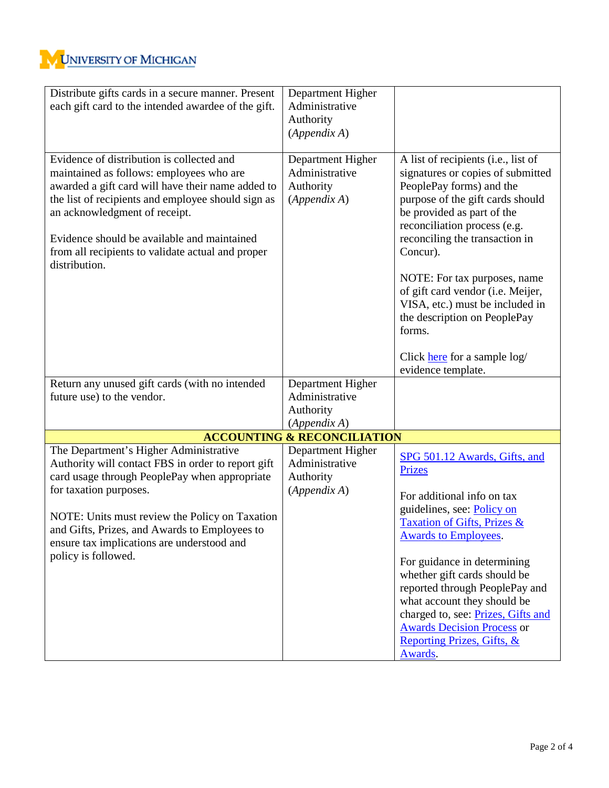| Distribute gifts cards in a secure manner. Present<br>each gift card to the intended awardee of the gift.                                                                                                                                                                                                                                              | Department Higher<br>Administrative<br>Authority<br>(Appendix A) |                                                                                                                                                                                                                                                                                                                                                                                                                                                              |
|--------------------------------------------------------------------------------------------------------------------------------------------------------------------------------------------------------------------------------------------------------------------------------------------------------------------------------------------------------|------------------------------------------------------------------|--------------------------------------------------------------------------------------------------------------------------------------------------------------------------------------------------------------------------------------------------------------------------------------------------------------------------------------------------------------------------------------------------------------------------------------------------------------|
| Evidence of distribution is collected and<br>maintained as follows: employees who are<br>awarded a gift card will have their name added to<br>the list of recipients and employee should sign as<br>an acknowledgment of receipt.<br>Evidence should be available and maintained<br>from all recipients to validate actual and proper<br>distribution. | Department Higher<br>Administrative<br>Authority<br>(Appendix A) | A list of recipients (i.e., list of<br>signatures or copies of submitted<br>PeoplePay forms) and the<br>purpose of the gift cards should<br>be provided as part of the<br>reconciliation process (e.g.<br>reconciling the transaction in<br>Concur).<br>NOTE: For tax purposes, name<br>of gift card vendor (i.e. Meijer,<br>VISA, etc.) must be included in<br>the description on PeoplePay<br>forms.<br>Click here for a sample log/<br>evidence template. |
| Return any unused gift cards (with no intended<br>future use) to the vendor.                                                                                                                                                                                                                                                                           | Department Higher<br>Administrative<br>Authority<br>(Appendix A) |                                                                                                                                                                                                                                                                                                                                                                                                                                                              |
|                                                                                                                                                                                                                                                                                                                                                        | <b>ACCOUNTING &amp; RECONCILIATION</b>                           |                                                                                                                                                                                                                                                                                                                                                                                                                                                              |
| The Department's Higher Administrative<br>Authority will contact FBS in order to report gift<br>card usage through PeoplePay when appropriate<br>for taxation purposes.<br>NOTE: Units must review the Policy on Taxation<br>and Gifts, Prizes, and Awards to Employees to<br>ensure tax implications are understood and<br>policy is followed.        | Department Higher<br>Administrative<br>Authority<br>(Appendix A) | SPG 501.12 Awards, Gifts, and<br><b>Prizes</b><br>For additional info on tax<br>guidelines, see: Policy on<br>Taxation of Gifts, Prizes &<br><b>Awards to Employees.</b><br>For guidance in determining<br>whether gift cards should be<br>reported through PeoplePay and<br>what account they should be<br>charged to, see: Prizes, Gifts and<br><b>Awards Decision Process or</b><br>Reporting Prizes, Gifts, &<br>Awards.                                 |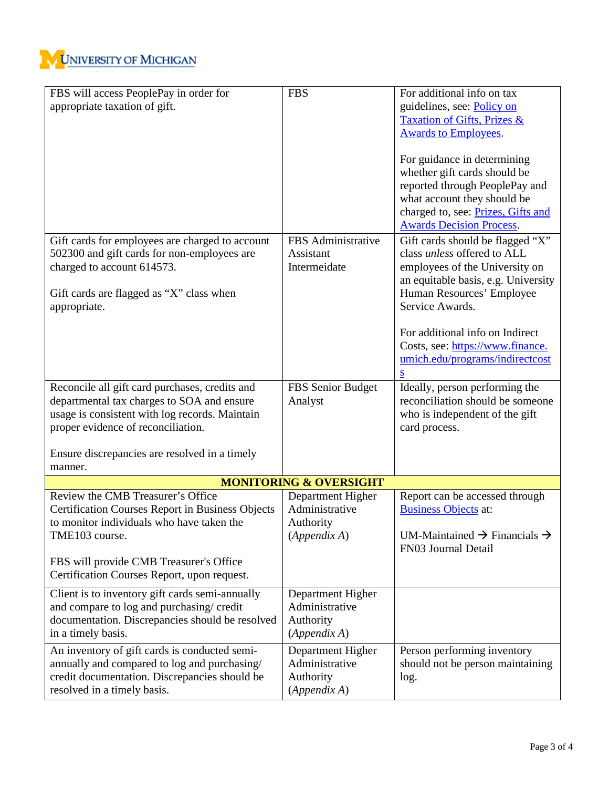

| FBS will access PeoplePay in order for                  | <b>FBS</b>                                             | For additional info on tax                                    |
|---------------------------------------------------------|--------------------------------------------------------|---------------------------------------------------------------|
| appropriate taxation of gift.                           |                                                        | guidelines, see: Policy on                                    |
|                                                         |                                                        | Taxation of Gifts, Prizes &                                   |
|                                                         |                                                        | <b>Awards to Employees.</b>                                   |
|                                                         |                                                        | For guidance in determining                                   |
|                                                         |                                                        | whether gift cards should be                                  |
|                                                         |                                                        | reported through PeoplePay and                                |
|                                                         |                                                        | what account they should be                                   |
|                                                         |                                                        | charged to, see: Prizes, Gifts and                            |
|                                                         |                                                        | <b>Awards Decision Process.</b>                               |
| Gift cards for employees are charged to account         | FBS Administrative                                     | Gift cards should be flagged "X"                              |
| 502300 and gift cards for non-employees are             | Assistant                                              | class unless offered to ALL                                   |
| charged to account 614573.                              | Intermeidate                                           | employees of the University on                                |
|                                                         |                                                        | an equitable basis, e.g. University                           |
| Gift cards are flagged as "X" class when                |                                                        | Human Resources' Employee                                     |
| appropriate.                                            |                                                        | Service Awards.                                               |
|                                                         |                                                        | For additional info on Indirect                               |
|                                                         |                                                        | Costs, see: https://www.finance.                              |
|                                                         |                                                        | umich.edu/programs/indirectcost                               |
|                                                         |                                                        | S                                                             |
| Reconcile all gift card purchases, credits and          | FBS Senior Budget                                      | Ideally, person performing the                                |
| departmental tax charges to SOA and ensure              | Analyst                                                | reconciliation should be someone                              |
| usage is consistent with log records. Maintain          |                                                        | who is independent of the gift                                |
| proper evidence of reconciliation.                      |                                                        | card process.                                                 |
|                                                         |                                                        |                                                               |
| Ensure discrepancies are resolved in a timely           |                                                        |                                                               |
| manner.                                                 |                                                        |                                                               |
| Review the CMB Treasurer's Office                       | <b>MONITORING &amp; OVERSIGHT</b><br>Department Higher |                                                               |
| <b>Certification Courses Report in Business Objects</b> | Administrative                                         | Report can be accessed through<br><b>Business Objects at:</b> |
| to monitor individuals who have taken the               | Authority                                              |                                                               |
| TME103 course.                                          | (Appendix A)                                           | UM-Maintained $\rightarrow$ Financials $\rightarrow$          |
|                                                         |                                                        | FN03 Journal Detail                                           |
| FBS will provide CMB Treasurer's Office                 |                                                        |                                                               |
| Certification Courses Report, upon request.             |                                                        |                                                               |
| Client is to inventory gift cards semi-annually         | Department Higher                                      |                                                               |
| and compare to log and purchasing/credit                | Administrative                                         |                                                               |
| documentation. Discrepancies should be resolved         | Authority                                              |                                                               |
| in a timely basis.                                      | (Appendix A)                                           |                                                               |
| An inventory of gift cards is conducted semi-           | Department Higher                                      | Person performing inventory                                   |
| annually and compared to log and purchasing/            | Administrative                                         | should not be person maintaining                              |
| credit documentation. Discrepancies should be           | Authority                                              | log.                                                          |
| resolved in a timely basis.                             | (Appendix A)                                           |                                                               |